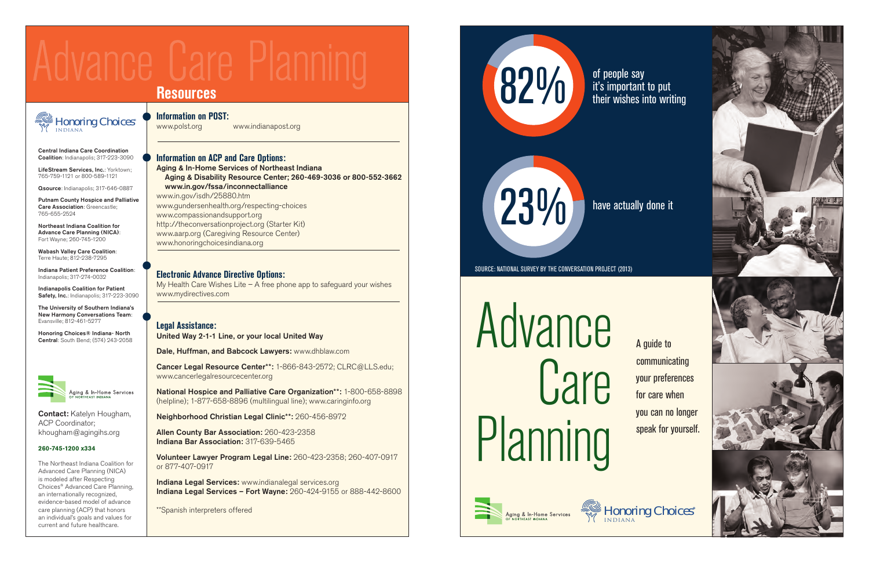

of people say it's important to put their wishes into writing

23%

have actually done it

SOURCE: NATIONAL SURVEY BY THE CONVERSATION PROJECT (2013)

Advance Care Planning

A guide to communicating your preferences for care when you can no longer speak for yourself.



ging & In-Home Services

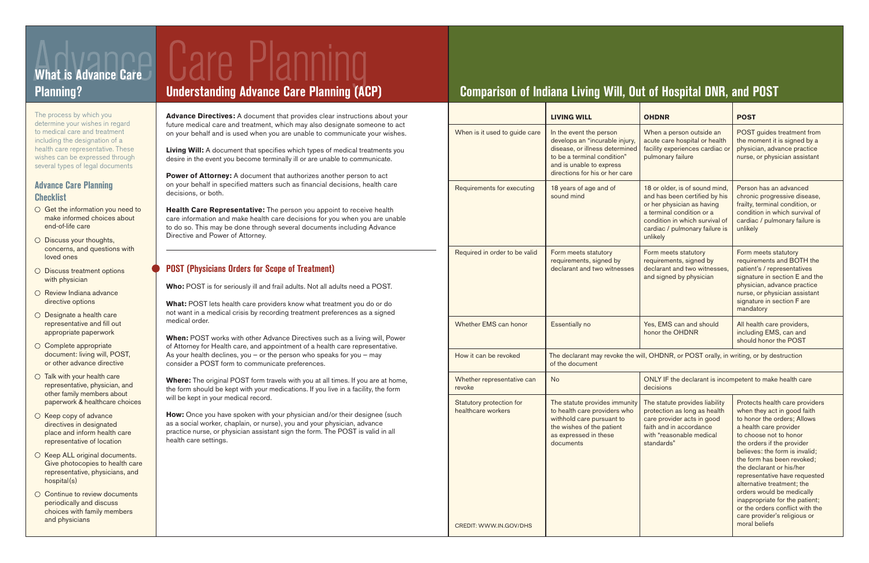The process by which you determine your wishes in regard to medical care and treatment including the designation of a health care representative. These wishes can be expressed through several types of legal documents

# **Advance Care Planning Checklist**

- $\circ$  Get the information you need to make informed choices about end-of-life care
- $\circ$  Discuss your thoughts, concerns, and questions with loved ones
- O Discuss treatment options with physician
- O Review Indiana advance directive options
- $\bigcirc$  Designate a health care representative and fill out appropriate paperwork
- O Complete appropriate document: living will, POST, or other advance directive
- $\circ$  Talk with your health care representative, physician, and other family members about paperwork & healthcare choices
- $\circ$  Keep copy of advance directives in designated place and inform health care representative of location
- $\circ$  Keep ALL original documents. Give photocopies to health care representative, physicians, and hospital(s)
- $\circ$  Continue to review documents periodically and discuss choices with family members and physicians

Care Planning

**Power of Attorney:** A document that authorizes another person to act on your behalf in specified matters such as financial decisions, health care decisions, or both.

What: POST lets health care providers know what treatment you do or do not want in a medical crisis by recording treatment preferences as a signed medical order.

**Advance Directives:** A document that provides clear instructions about your future medical care and treatment, which may also designate someone to act on your behalf and is used when you are unable to communicate your wishes.

**Living Will:** A document that specifies which types of medical treatments you desire in the event you become terminally ill or are unable to communicate.

**How:** Once you have spoken with your physician and/or their designee (such as a social worker, chaplain, or nurse), you and your physician, advance practice nurse, or physician assistant sign the form. The POST is valid in all health care settings.

**Health Care Representative:** The person you appoint to receive health care information and make health care decisions for you when you are unable to do so. This may be done through several documents including Advance Directive and Power of Attorney.

# **POST (Physicians Orders for Scope of Treatment)**

**Who:** POST is for seriously ill and frail adults. Not all adults need a POST.

**When:** POST works with other Advance Directives such as a living will, Power of Attorney for Health care, and appointment of a health care representative. As your health declines, you  $-$  or the person who speaks for you  $-$  may consider a POST form to communicate preferences.

**Where:** The original POST form travels with you at all times. If you are at home, the form should be kept with your medications. If you live in a facility, the form will be kept in your medical record.

# lannal **What is Advance Care**

|                                                | <b>LIVING WILL</b>                                                                                                                                                                       | <b>OHDNR</b>                                                                                                                                                                                               | <b>POST</b>                                                                                                                                                                                                                                                                                                                                                                                                                                                                 |
|------------------------------------------------|------------------------------------------------------------------------------------------------------------------------------------------------------------------------------------------|------------------------------------------------------------------------------------------------------------------------------------------------------------------------------------------------------------|-----------------------------------------------------------------------------------------------------------------------------------------------------------------------------------------------------------------------------------------------------------------------------------------------------------------------------------------------------------------------------------------------------------------------------------------------------------------------------|
| When is it used to guide care                  | In the event the person<br>develops an "incurable injury,<br>disease, or illness determined<br>to be a terminal condition"<br>and is unable to express<br>directions for his or her care | When a person outside an<br>acute care hospital or health<br>facility experiences cardiac or<br>pulmonary failure                                                                                          | POST guides treatment from<br>the moment it is signed by a<br>physician, advance practice<br>nurse, or physician assistant                                                                                                                                                                                                                                                                                                                                                  |
| Requirements for executing                     | 18 years of age and of<br>sound mind                                                                                                                                                     | 18 or older, is of sound mind,<br>and has been certified by his<br>or her physician as having<br>a terminal condition or a<br>condition in which survival of<br>cardiac / pulmonary failure is<br>unlikely | Person has an advanced<br>chronic progressive disease,<br>frailty, terminal condition, or<br>condition in which survival of<br>cardiac / pulmonary failure is<br>unlikely                                                                                                                                                                                                                                                                                                   |
| Required in order to be valid                  | Form meets statutory<br>requirements, signed by<br>declarant and two witnesses                                                                                                           | Form meets statutory<br>requirements, signed by<br>declarant and two witnesses,<br>and signed by physician                                                                                                 | Form meets statutory<br>requirements and BOTH the<br>patient's / representatives<br>signature in section E and the<br>physician, advance practice<br>nurse, or physician assistant<br>signature in section F are<br>mandatory                                                                                                                                                                                                                                               |
| Whether EMS can honor                          | Essentially no                                                                                                                                                                           | Yes, EMS can and should<br>honor the OHDNR                                                                                                                                                                 | All health care providers,<br>including EMS, can and<br>should honor the POST                                                                                                                                                                                                                                                                                                                                                                                               |
| How it can be revoked                          | The declarant may revoke the will, OHDNR, or POST orally, in writing, or by destruction<br>of the document                                                                               |                                                                                                                                                                                                            |                                                                                                                                                                                                                                                                                                                                                                                                                                                                             |
| Whether representative can<br>revoke           | <b>No</b>                                                                                                                                                                                | ONLY IF the declarant is incompetent to make health care<br>decisions                                                                                                                                      |                                                                                                                                                                                                                                                                                                                                                                                                                                                                             |
| Statutory protection for<br>healthcare workers | The statute provides immunity<br>to health care providers who<br>withhold care pursuant to<br>the wishes of the patient<br>as expressed in these<br>documents                            | The statute provides liability<br>protection as long as health<br>care provider acts in good<br>faith and in accordance<br>with "reasonable medical<br>standards"                                          | Protects health care providers<br>when they act in good faith<br>to honor the orders; Allows<br>a health care provider<br>to choose not to honor<br>the orders if the provider<br>believes: the form is invalid;<br>the form has been revoked;<br>the declarant or his/her<br>representative have requested<br>alternative treatment; the<br>orders would be medically<br>inappropriate for the patient;<br>or the orders conflict with the<br>care provider's religious or |
| CREDIT: WWW.IN.GOV/DHS                         |                                                                                                                                                                                          |                                                                                                                                                                                                            | moral beliefs                                                                                                                                                                                                                                                                                                                                                                                                                                                               |

# **Planning? Understanding Advance Care Planning (ACP) Comparison of Indiana Living Will, Out of Hospital DNR, and POST**